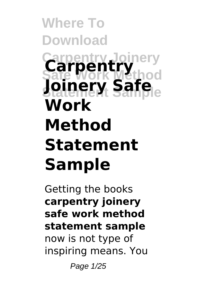### **Where To Download Carpentry Joinery Safe Work Method Statement Sample** nel **Joinery Safe Work Method Statement Sample**

Getting the books **carpentry joinery safe work method statement sample** now is not type of inspiring means. You

Page 1/25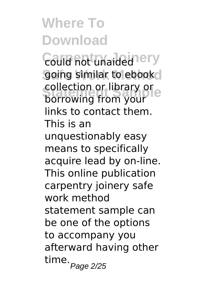**Could not unaided ery** going similar to ebook Equection or library or<br>borrowing from your collection or library or links to contact them. This is an unquestionably easy means to specifically acquire lead by on-line. This online publication carpentry joinery safe work method statement sample can be one of the options to accompany you afterward having other time. <sub>Page 2/25</sub>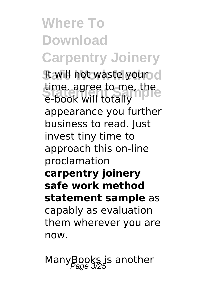**Where To Download Carpentry Joinery It will not waste your d** time. agree to me, the e-book will totally appearance you further business to read. Just invest tiny time to approach this on-line proclamation **carpentry joinery safe work method statement sample** as capably as evaluation them wherever you are now.

ManyBooks is another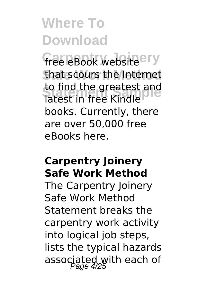free eBook website ery that scours the Internet to ling the greatest and<br>latest in free Kindle to find the greatest and books. Currently, there are over 50,000 free eBooks here.

#### **Carpentry Joinery Safe Work Method**

The Carpentry Joinery Safe Work Method Statement breaks the carpentry work activity into logical job steps, lists the typical hazards associated with each of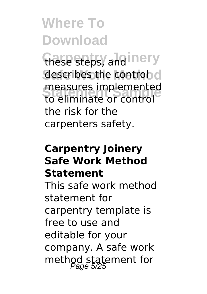these steps, and inery describes the control of **Statement Sample** to eliminate or control measures implemented the risk for the carpenters safety.

#### **Carpentry Joinery Safe Work Method Statement**

This safe work method statement for carpentry template is free to use and editable for your company. A safe work method statement for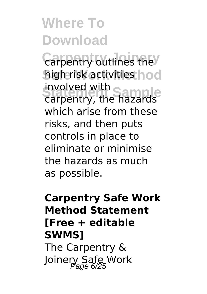**Carpentry outlines the** high risk activities hod **Statement Statement Statement Statement Statement Statement Statement Statement Statement Statement Statement S** involved with which arise from these risks, and then puts controls in place to eliminate or minimise the hazards as much as possible.

### **Carpentry Safe Work Method Statement [Free + editable SWMS]** The Carpentry & Joinery Safe Work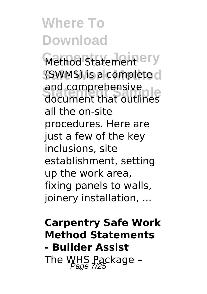**Method Statement** ery (SWMS) is a complete of and comprenensive<br>document that outlines and comprehensive all the on-site procedures. Here are just a few of the key inclusions, site establishment, setting up the work area, fixing panels to walls, joinery installation, ...

**Carpentry Safe Work Method Statements - Builder Assist** The WHS Package -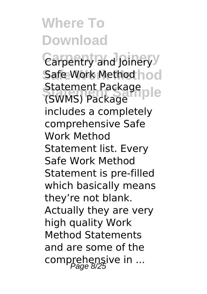Carpentry and Joinery<sup>y</sup> **Safe Work Method** Safe Work Method Statement Package<br>
SWMS\ Package Ple (SWMS) Package includes a completely comprehensive Safe Work Method Statement list. Every Safe Work Method Statement is pre-filled which basically means they're not blank. Actually they are very high quality Work Method Statements and are some of the comprehensive in ...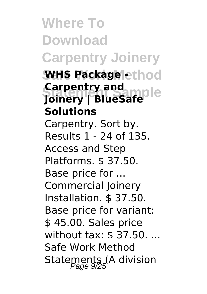**Where To Download Carpentry Joinery WHS Packagelethod Carpentry and mple**<br>Joinery | BlueSafe **Carpentry and Solutions** Carpentry. Sort by. Results 1 - 24 of 135. Access and Step Platforms. \$ 37.50. Base price for ... Commercial Joinery Installation. \$ 37.50. Base price for variant: \$ 45.00. Sales price without tax: \$ 37.50. ... Safe Work Method Statements (A division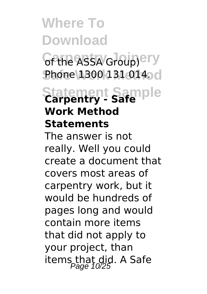*Cf the ASSA Group)*ery **Phone 1300 131 014.** c

### **Statement Sample Carpentry - Safe Work Method Statements**

The answer is not really. Well you could create a document that covers most areas of carpentry work, but it would be hundreds of pages long and would contain more items that did not apply to your project, than items that did. A Safe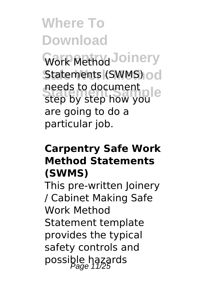Work Method Joinery Statements (SWMS) od **Statement Sample** step by step how you needs to document are going to do a particular job.

### **Carpentry Safe Work Method Statements (SWMS)**

This pre-written Joinery / Cabinet Making Safe Work Method Statement template provides the typical safety controls and possible hazards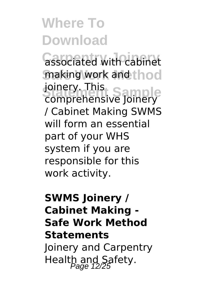**Gassociated with cabinet** making work and thod **Somery. This**<br>Comprehensive Joinery joinery. This / Cabinet Making SWMS will form an essential part of your WHS system if you are responsible for this work activity.

### **SWMS Joinery / Cabinet Making - Safe Work Method Statements** Joinery and Carpentry Health and Safety.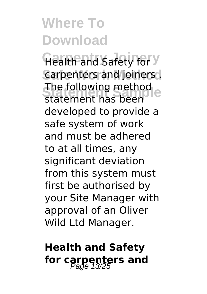**Health and Safety for Y** Carpenters and joiners. **Statement Sample** statement has been The following method developed to provide a safe system of work and must be adhered to at all times, any significant deviation from this system must first be authorised by your Site Manager with approval of an Oliver Wild Ltd Manager.

### **Health and Safety** for carpenters and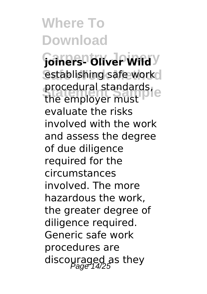**Carpentry Joinery joiners- Oliver Wild** establishing safe work procedural standards,<br>the employer must procedural standards, evaluate the risks involved with the work and assess the degree of due diligence required for the circumstances involved. The more hazardous the work, the greater degree of diligence required. Generic safe work procedures are discouraged as they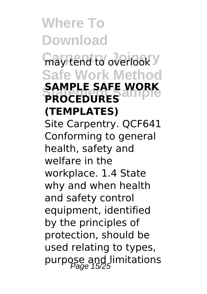may tend to overlook **y Safe Work Method SAMPLE SAFE WORK PROCEDURES (TEMPLATES)** Site Carpentry. QCF641 Conforming to general health, safety and welfare in the workplace. 1.4 State why and when health and safety control equipment, identified by the principles of protection, should be used relating to types, purpose and limitations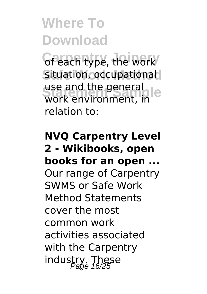of each type, the work Situation, occupational use and the general<br>work environment, in use and the general relation to:

**NVQ Carpentry Level 2 - Wikibooks, open books for an open ...** Our range of Carpentry SWMS or Safe Work Method Statements cover the most common work activities associated with the Carpentry industry. These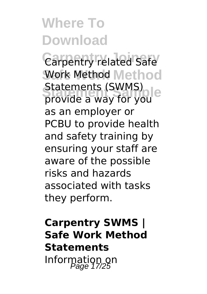Carpentry related Safe Work Method Method Statements (SWMS)<br>provide a way for you Statements (SWMS) as an employer or PCBU to provide health and safety training by ensuring your staff are aware of the possible risks and hazards associated with tasks they perform.

**Carpentry SWMS | Safe Work Method Statements** Information on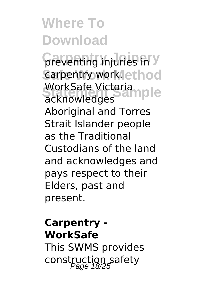**preventing injuries in y** carpentry work.lethod WorkSafe Victoria<br>acknowledges acknowledges Aboriginal and Torres Strait Islander people as the Traditional Custodians of the land and acknowledges and pays respect to their Elders, past and present.

### **Carpentry - WorkSafe** This SWMS provides construction safety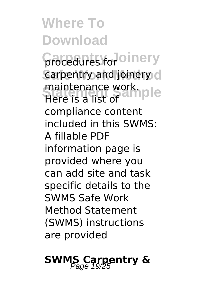**Carpentry Joinery** procedures for carpentry and joinery d maintenance work.<br>Here is a list of Here is a list of compliance content included in this SWMS: A fillable PDF information page is provided where you can add site and task specific details to the SWMS Safe Work Method Statement (SWMS) instructions are provided

### **SWMS Carpentry &**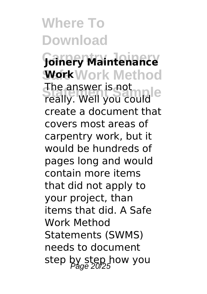**Carpentry Joinery Joinery Maintenance Work** Work Method **Strie answer is not**<br>really. Well you could The answer is not create a document that covers most areas of carpentry work, but it would be hundreds of pages long and would contain more items that did not apply to your project, than items that did. A Safe Work Method Statements (SWMS) needs to document step by step how you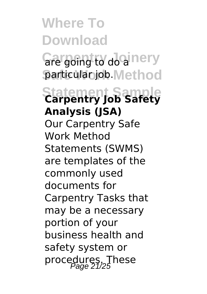Gre going to do a nery **particular job. Method** 

**Statement Sample Carpentry Job Safety Analysis (JSA)** Our Carpentry Safe Work Method Statements (SWMS) are templates of the commonly used documents for Carpentry Tasks that may be a necessary portion of your business health and safety system or procedures. These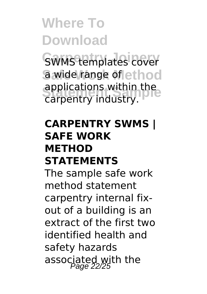SWMS templates cover a wide range of ethod **Supplications within the** carpentry industry.

#### **CARPENTRY SWMS | SAFE WORK METHOD STATEMENTS**

The sample safe work method statement carpentry internal fixout of a building is an extract of the first two identified health and safety hazards associated with the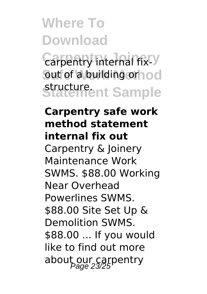**Carpentry internal fix-Y** out of a building orhod structure.<br>Statement Sample

### **Carpentry safe work method statement internal fix out** Carpentry & Joinery Maintenance Work SWMS. \$88.00 Working Near Overhead Powerlines SWMS. \$88.00 Site Set Up & Demolition SWMS. \$88.00 ... If you would like to find out more about our carpentry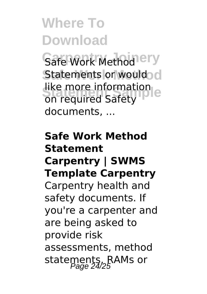Safe Work Method<sup>lery</sup> Statements or would d **Statement Contribution**<br>
on required Safety like more information documents, ...

### **Safe Work Method Statement Carpentry | SWMS Template Carpentry** Carpentry health and safety documents. If you're a carpenter and are being asked to provide risk assessments, method statements, RAMs or